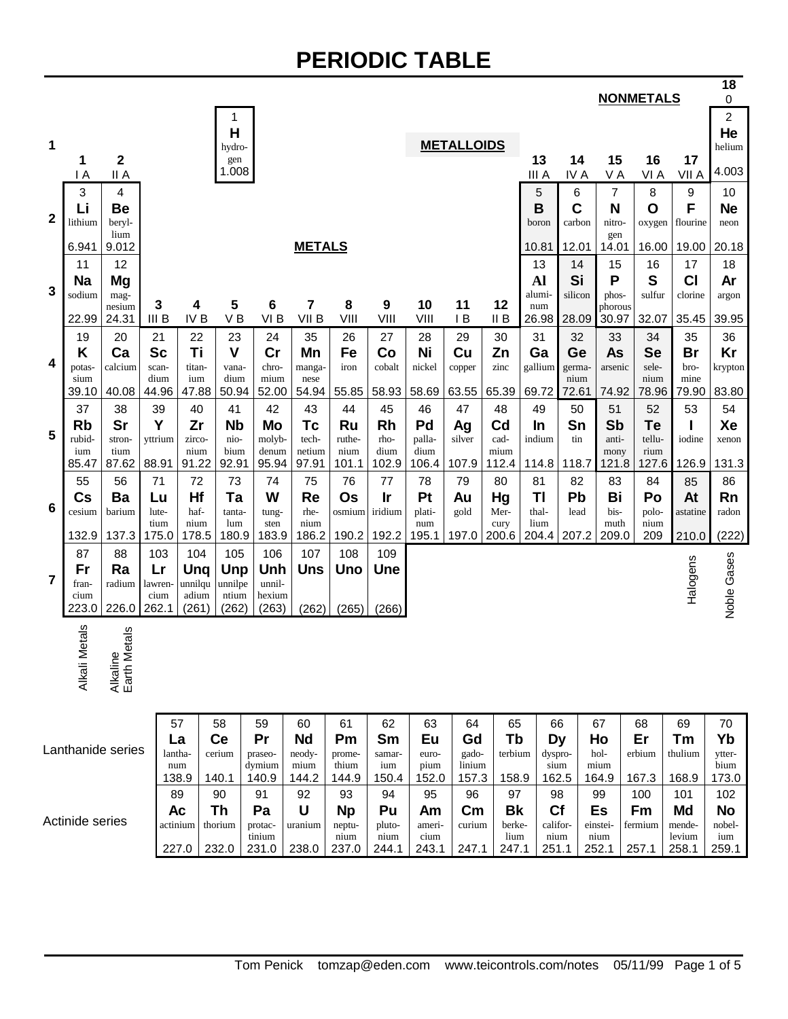### **PERIODIC TABLE**

|                |                     |                              |                    |                       |               |                                  |                   |                  |                     |               |               |                         |                      |               |               |                | <b>NONMETALS</b>   |                           | 18<br>$\pmb{0}$            |
|----------------|---------------------|------------------------------|--------------------|-----------------------|---------------|----------------------------------|-------------------|------------------|---------------------|---------------|---------------|-------------------------|----------------------|---------------|---------------|----------------|--------------------|---------------------------|----------------------------|
| 1              | 1                   | $\mathbf 2$                  |                    |                       |               | 1<br>H<br>hydro-<br>gen<br>1.008 |                   |                  |                     |               |               | <b>METALLOIDS</b>       |                      | 13            | 14            | 15             | 16                 | 17                        | 2<br>He<br>helium<br>4.003 |
|                | $\mathsf{I}$ A<br>3 | II A<br>4                    |                    |                       |               |                                  |                   |                  |                     |               |               |                         |                      | III A<br>5    | IV A<br>6     | VA<br>7        | VI A<br>8          | VII A<br>$\boldsymbol{9}$ | 10                         |
|                | Li                  | Be                           |                    |                       |               |                                  |                   |                  |                     |               |               |                         |                      | B             | C             | N              | O                  | F                         | <b>Ne</b>                  |
| $\mathbf{2}$   | lithium             | beryl-<br>lium               |                    |                       |               |                                  |                   |                  |                     |               |               |                         |                      | boron         | carbon        | nitro-<br>gen  | oxygen             | flourine                  | neon                       |
|                | 6.941               | 9.012                        |                    |                       |               |                                  |                   | <b>METALS</b>    |                     |               |               |                         |                      | 10.81         | 12.01         | 14.01          | 16.00              | 19.00                     | 20.18                      |
|                | 11                  | 12                           |                    |                       |               |                                  |                   |                  |                     |               |               |                         |                      | 13            | 14            | 15             | 16                 | 17                        | 18                         |
| 3              | <b>Na</b><br>sodium | Mg<br>mag-                   |                    |                       |               |                                  |                   |                  |                     |               |               |                         |                      | Al<br>alumi-  | Si<br>silicon | P<br>phos-     | S<br>sulfur        | <b>CI</b><br>clorine      | Ar<br>argon                |
|                |                     | nesium                       | 3                  |                       | 4             | 5                                | $6\phantom{1}6$   | 7                | 8                   | 9             | 10            | 11                      | 12                   | num           |               | phorous        |                    |                           |                            |
|                | 22.99               | 24.31                        | III <sub>B</sub>   | IV <sub>B</sub>       |               | V <sub>B</sub>                   | VI <sub>B</sub>   | VII <sub>B</sub> | VIII                | VIII          | VIII          | IB                      | II B                 | 26.98         | 28.09         | 30.97          | 32.07              | 35.45                     | 39.95                      |
|                | 19                  | 20                           | 21                 | 22<br>Ti              |               | 23<br>$\mathbf{V}$               | 24<br>cr          | 35               | 26                  | 27            | 28            | 29                      | 30                   | 31            | 32            | 33             | 34                 | 35                        | 36                         |
| 4              | Κ<br>potas-         | Ca<br>calcium                | <b>Sc</b><br>scan- | titan-                |               | vana-                            | chro-             | Mn<br>manga-     | Fe<br>iron          | Co<br>cobalt  | Ni<br>nickel  | Cu<br>copper            | Zn<br>zinc           | Ga<br>gallium | Ge<br>germa-  | As<br>arsenic  | <b>Se</b><br>sele- | <b>Br</b><br>bro-         | Kr<br>krypton              |
|                | sium                |                              | dium               | ium                   |               | dium                             | mium              | nese             |                     |               |               |                         |                      |               | nium          |                | nium               | mine                      |                            |
|                | 39.10               | 40.08                        | 44.96              | 47.88                 |               | 50.94                            | 52.00             | 54.94            | 55.85               | 58.93         | 58.69         | 63.55                   | 65.39                | 69.72         | 72.61         | 74.92          | 78.96              | 79.90                     | 83.80                      |
|                | 37<br><b>Rb</b>     | 38<br>Sr                     | 39<br>Y            | 40<br>Zr              |               | 41<br><b>Nb</b>                  | 42<br><b>Mo</b>   | 43<br>Tc         | 44<br>Ru            | 45<br>Rh      | 46<br>Pd      | 47<br>Ag                | 48<br>C <sub>d</sub> | 49<br>In      | 50<br>Sn      | 51<br>Sb       | 52<br>Te           | 53                        | 54<br>Xe                   |
| 5              | rubid-              | stron-                       | yttrium            | zirco-                |               | nio-                             | molyb-            | tech-            | ruthe-              | rho-          | palla-        | silver                  | cad-                 | indium        | tin           | anti-          | tellu-             | iodine                    | xenon                      |
|                | ium<br>85.47        | tium<br>87.62                | 88.91              | nium<br>91.22         |               | bium<br>92.91                    | denum<br>95.94    | netium<br>97.91  | nium<br>101.1       | dium<br>102.9 | dium<br>106.4 | 107.9                   | mium<br>112.4        | 114.8         | 118.7         | mony<br>121.8  | rium<br>127.6      | 126.9                     | 131.3                      |
|                | 55                  | 56                           | 71                 |                       | 72            | 73                               | 74                | 75               | 76                  | 77            | 78            | 79                      | 80                   | 81            | 82            | 83             | 84                 | 85                        | 86                         |
|                | Cs                  | Ba                           | Lu                 | Hf                    |               | Ta                               | W                 | <b>Re</b>        | <b>Os</b>           | Ir            | Pt            | Au                      | Hg                   | ΤI            | Pb            | Bi             | Po                 | At                        | Rn                         |
| 6              | cesium              | barium                       | lute-              | haf-                  |               | tanta-                           | tung-             | rhe-             | osmium              | iridium       | plati-        | gold                    | Mer-                 | thal-         | lead          | bis-           | polo-              | astatine                  | radon                      |
|                | 132.9               | 137.3                        | tium<br>175.0      | nium<br>178.5         |               | lum<br>180.9                     | sten<br>183.9     | nium<br>186.2    | 190.2               | 192.2         | num<br>195.1  | 197.0                   | cury<br>200.6        | lium<br>204.4 | 207.2         | muth<br>209.0  | nium<br>209        | 210.0                     | (222)                      |
|                | 87                  | 88                           | 103                | 104                   |               | 105                              | 106               | 107              | 108                 | 109           |               |                         |                      |               |               |                |                    |                           |                            |
| $\overline{7}$ | Fr                  | Ra                           | Lr                 | Ung                   |               | Unp                              | Unh               | Uns              | Uno                 | Une           |               |                         |                      |               |               |                |                    | Halogens                  |                            |
|                | fran-<br>cium       | radium                       | lawren-<br>cium    | unnilqu<br>adium      |               | unnilpe<br>ntium                 | unnil-<br>hexium  |                  |                     |               |               |                         |                      |               |               |                |                    |                           |                            |
|                | 223.0               | 226.0                        | 262.1              | (261)                 |               | (262)                            | (263)             | (262)            | (265)               | (266)         |               |                         |                      |               |               |                |                    |                           | Noble Gases                |
|                | Alkali Metals       | etals<br>Alkaline<br>Earth M |                    |                       |               |                                  |                   |                  |                     |               |               |                         |                      |               |               |                |                    |                           |                            |
|                |                     |                              |                    | 57                    | 58            |                                  | 59                | 60               | 61                  | 62            | 63            | 64                      | 65                   |               | 66            | 67             | 68                 | 69                        | 70                         |
|                | Lanthanide series   |                              |                    | La                    | Ce            |                                  | Pr                | <b>Nd</b>        | Pm                  | Sm            | Eu            | Gd                      | Tb                   |               | Dy            | Ho             | Er                 | Tm                        | Yb                         |
|                |                     |                              |                    | lantha-<br>num        | cerium        |                                  | praseo-<br>dymium | neody-<br>mium   | prome-<br>thium     | samar-<br>ium | euro-<br>pium | gado-<br>linium         | terbium              | dyspro-       | sium          | hol-<br>mium   | erbium             | thulium                   | ytter-<br>bium             |
|                |                     |                              |                    | 138.9                 | 140.1         |                                  | 140.9             | 144.2            | 144.9               | 150.4         | 152.0         | 157.3                   | 158.9                |               | 162.5         | 164.9          | 167.3              | 168.9                     | 173.0                      |
|                |                     |                              |                    | 89                    | 90            |                                  | 91                | 92               | 93                  | 94            | 95            | 96                      | 97                   |               | 98            | 99             | 100                | 101                       | 102                        |
|                | Actinide series     |                              |                    | <b>Ac</b><br>actinium | Th<br>thorium |                                  | Pa<br>protac-     | U<br>uranium     | <b>Np</b><br>neptu- | Pu<br>pluto-  | Am<br>ameri-  | $\mathsf{Cm}$<br>curium | <b>Bk</b><br>berke-  | califor-      | Cf            | Es<br>einstei- | Fm<br>fermium      | Md<br>mende-              | <b>No</b><br>nobel-        |
|                |                     |                              |                    |                       |               |                                  | tinium            |                  | nium                | nium          | cium          |                         | lium                 |               | nium          | nium           |                    | levium                    | ium                        |
|                |                     |                              |                    | 227.0                 | 232.0         |                                  | 231.0             | 238.0            | 237.0               | 244.1         | 243.1         | 247.1                   | 247.1                | 251.1         |               | 252.1          | 257.1              | 258.1                     | 259.1                      |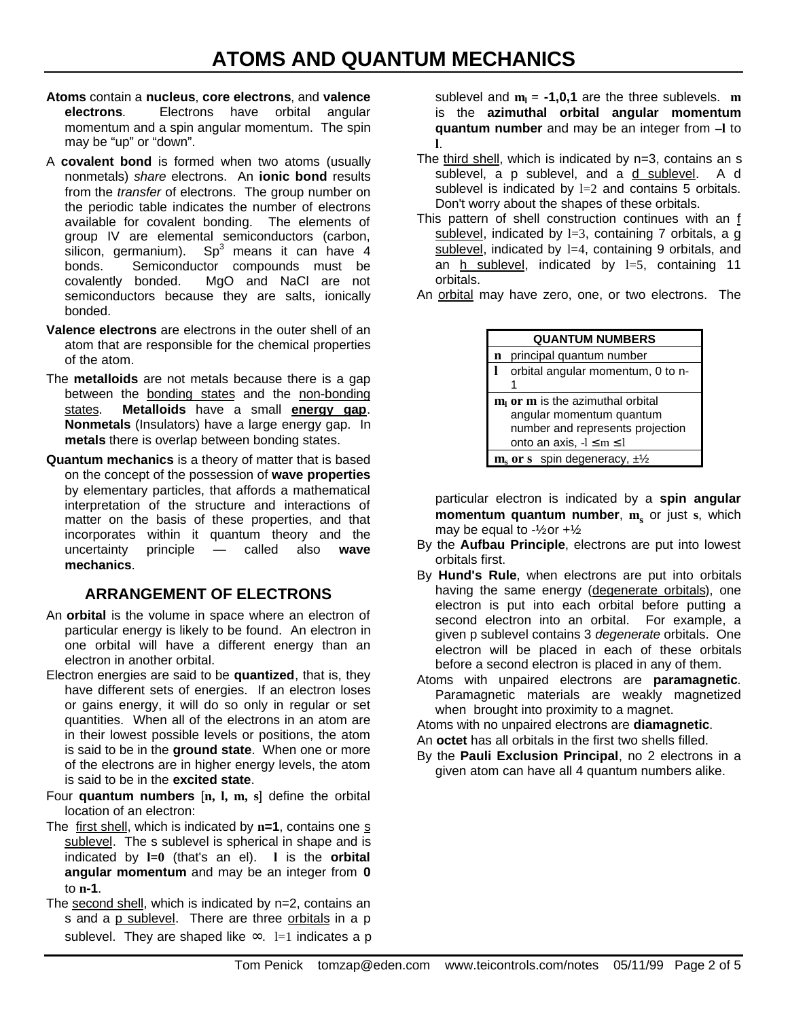- **Atoms** contain a **nucleus**, **core electrons**, and **valence electrons**. Electrons have orbital angular momentum and a spin angular momentum. The spin may be "up" or "down".
- A **covalent bond** is formed when two atoms (usually nonmetals) *share* electrons. An **ionic bond** results from the *transfer* of electrons. The group number on the periodic table indicates the number of electrons available for covalent bonding. The elements of group IV are elemental semiconductors (carbon, silicon, germanium).  $Sp^3$  means it can have 4 bonds. Semiconductor compounds must be covalently bonded. MgO and NaCl are not semiconductors because they are salts, ionically bonded.
- **Valence electrons** are electrons in the outer shell of an atom that are responsible for the chemical properties of the atom.
- The **metalloids** are not metals because there is a gap between the bonding states and the non-bonding states. **Metalloids** have a small **energy gap**. **Nonmetals** (Insulators) have a large energy gap. In **metals** there is overlap between bonding states.
- **Quantum mechanics** is a theory of matter that is based on the concept of the possession of **wave properties** by elementary particles, that affords a mathematical interpretation of the structure and interactions of matter on the basis of these properties, and that incorporates within it quantum theory and the uncertainty principle — called also **wave mechanics**.

### **ARRANGEMENT OF ELECTRONS**

- An **orbital** is the volume in space where an electron of particular energy is likely to be found. An electron in one orbital will have a different energy than an electron in another orbital.
- Electron energies are said to be **quantized**, that is, they have different sets of energies. If an electron loses or gains energy, it will do so only in regular or set quantities. When all of the electrons in an atom are in their lowest possible levels or positions, the atom is said to be in the **ground state**. When one or more of the electrons are in higher energy levels, the atom is said to be in the **excited state**.
- Four **quantum numbers** [**n, l, m, s**] define the orbital location of an electron:
- The first shell, which is indicated by **n=1**, contains one s sublevel. The s sublevel is spherical in shape and is indicated by **l=0** (that's an el). **l** is the **orbital angular momentum** and may be an integer from **0** to **n-1**.
- The second shell, which is indicated by n=2, contains an s and a p sublevel. There are three orbitals in a p sublevel. They are shaped like  $\infty$ . l=1 indicates a p

sublevel and **m<sup>l</sup> = -1,0,1** are the three sublevels. **m** is the **azimuthal orbital angular momentum quantum number** and may be an integer from **–l** to **l**.

- The third shell, which is indicated by n=3, contains an s sublevel, a p sublevel, and a d sublevel. A d sublevel is indicated by  $l=2$  and contains 5 orbitals. Don't worry about the shapes of these orbitals.
- This pattern of shell construction continues with an f sublevel, indicated by  $l=3$ , containing 7 orbitals, a g sublevel, indicated by 1=4, containing 9 orbitals, and an h sublevel, indicated by  $l=5$ , containing 11 orbitals.
- An orbital may have zero, one, or two electrons. The

|   | <b>QUANTUM NUMBERS</b>                                                                                                                 |
|---|----------------------------------------------------------------------------------------------------------------------------------------|
| n | principal quantum number                                                                                                               |
| l | orbital angular momentum, 0 to n-<br>1                                                                                                 |
|   | $ml$ or $m$ is the azimuthal orbital<br>angular momentum quantum<br>number and represents projection<br>onto an axis, $-l \le m \le l$ |
|   | $\mathbf{m}_s$ or s spin degeneracy, $\pm\frac{1}{2}$                                                                                  |

particular electron is indicated by a **spin angular momentum quantum number**, **m<sup>s</sup>** or just **s**, which may be equal to  $-\frac{1}{2}$  or  $+\frac{1}{2}$ .

- By the **Aufbau Principle**, electrons are put into lowest orbitals first.
- By **Hund's Rule**, when electrons are put into orbitals having the same energy (degenerate orbitals), one electron is put into each orbital before putting a second electron into an orbital. For example, a given p sublevel contains 3 *degenerate* orbitals. One electron will be placed in each of these orbitals before a second electron is placed in any of them.
- Atoms with unpaired electrons are **paramagnetic**. Paramagnetic materials are weakly magnetized when brought into proximity to a magnet.

Atoms with no unpaired electrons are **diamagnetic**.

- An **octet** has all orbitals in the first two shells filled.
- By the **Pauli Exclusion Principal**, no 2 electrons in a given atom can have all 4 quantum numbers alike.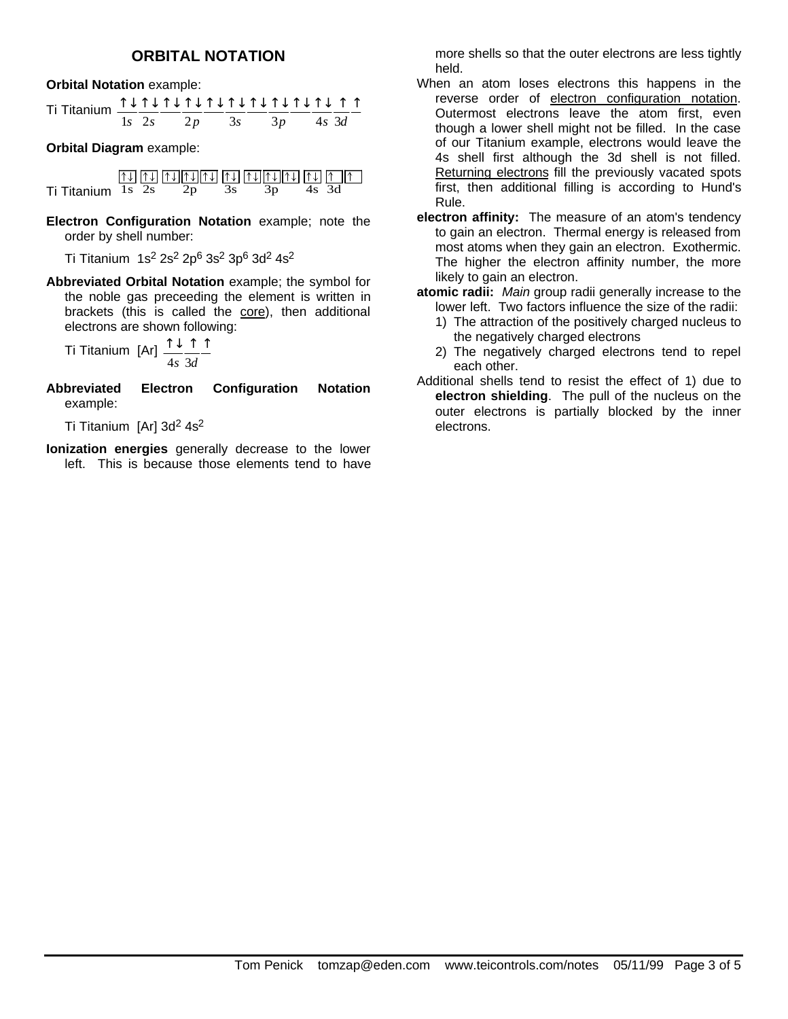#### **ORBITAL NOTATION**

**Orbital Notation** example:

|  |  |  | $1s$ $2s$ $2p$ $3s$ $3p$ $4s$ $3d$ |  |  |  |
|--|--|--|------------------------------------|--|--|--|

**Orbital Diagram** example:

|                   |  |    | $\lceil \uparrow \uparrow \rceil$ $\lceil \downarrow \uparrow \rceil$ $\lceil \downarrow \uparrow \rceil$ $\lceil \downarrow \uparrow \rceil$ $\lceil \downarrow \uparrow \rceil$ $\lceil \downarrow \uparrow \rceil$ $\lceil \downarrow \uparrow \rceil$ $\lceil \downarrow \uparrow \rceil$ |       |  |
|-------------------|--|----|-----------------------------------------------------------------------------------------------------------------------------------------------------------------------------------------------------------------------------------------------------------------------------------------------|-------|--|
| Ti Titanium 1s 2s |  | 2p |                                                                                                                                                                                                                                                                                               | 4s 3d |  |

**Electron Configuration Notation** example; note the order by shell number:

Ti Titanium 1s<sup>2</sup> 2s<sup>2</sup> 2p<sup>6</sup> 3s<sup>2</sup> 3p<sup>6</sup> 3d<sup>2</sup> 4s<sup>2</sup>

**Abbreviated Orbital Notation** example; the symbol for the noble gas preceeding the element is written in brackets (this is called the core), then additional electrons are shown following:

Ti Titanium [Ar] 
$$
\frac{\uparrow \downarrow \uparrow \uparrow}{4s} \frac{\uparrow}{3d}
$$

**Abbreviated Electron Configuration Notation** example:

Ti Titanium [Ar]  $3d^2$  4s<sup>2</sup>

**Ionization energies** generally decrease to the lower left. This is because those elements tend to have more shells so that the outer electrons are less tightly held.

- When an atom loses electrons this happens in the reverse order of electron configuration notation. Outermost electrons leave the atom first, even though a lower shell might not be filled. In the case of our Titanium example, electrons would leave the 4s shell first although the 3d shell is not filled. Returning electrons fill the previously vacated spots first, then additional filling is according to Hund's Rule.
- **electron affinity:** The measure of an atom's tendency to gain an electron. Thermal energy is released from most atoms when they gain an electron. Exothermic. The higher the electron affinity number, the more likely to gain an electron.

**atomic radii:** *Main* group radii generally increase to the lower left. Two factors influence the size of the radii:

- 1) The attraction of the positively charged nucleus to the negatively charged electrons
- 2) The negatively charged electrons tend to repel each other.
- Additional shells tend to resist the effect of 1) due to **electron shielding**. The pull of the nucleus on the outer electrons is partially blocked by the inner electrons.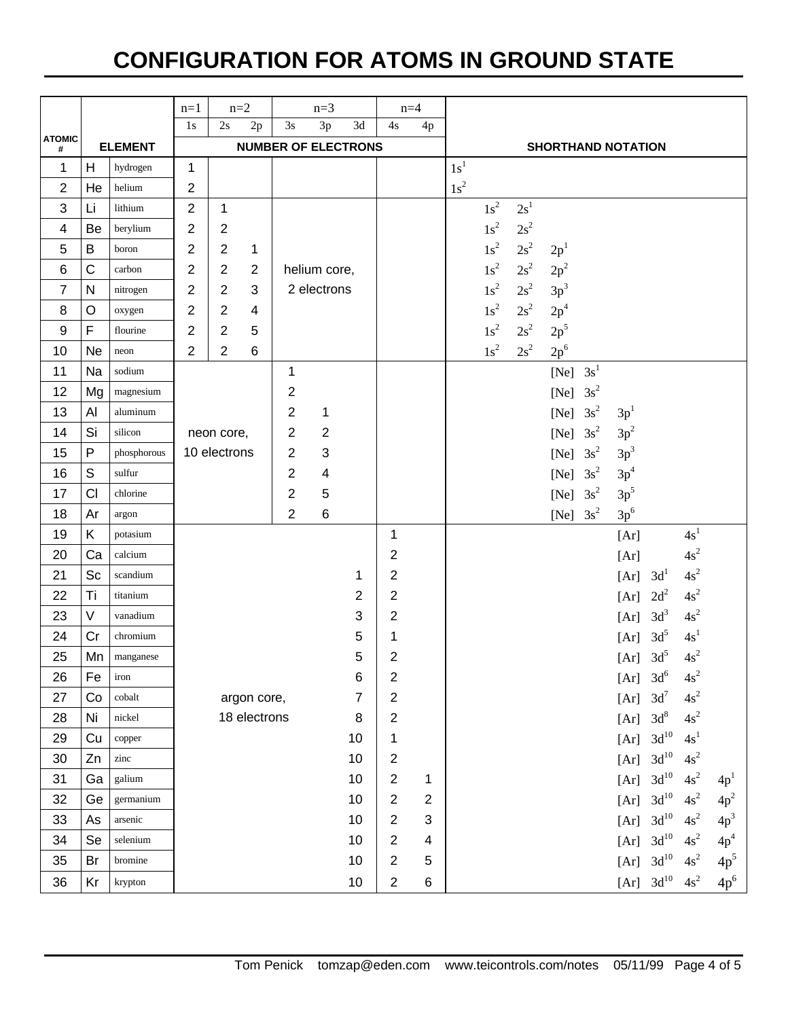## **CONFIGURATION FOR ATOMS IN GROUND STATE**

|                   |              |                | $n=1$          |                | $n=2$          |                            | $n=3$                     |    | $n=4$          |    |                 |                 |                 |                   |                           |                 |                 |                 |
|-------------------|--------------|----------------|----------------|----------------|----------------|----------------------------|---------------------------|----|----------------|----|-----------------|-----------------|-----------------|-------------------|---------------------------|-----------------|-----------------|-----------------|
| <b>ATOMIC</b>     |              | <b>ELEMENT</b> | 1s             | 2s             | 2p             | 3s                         | 3p                        | 3d | 4s             | 4p |                 |                 |                 |                   |                           |                 |                 |                 |
| #<br>$\mathbf{1}$ | H            | hydrogen       | 1              |                |                | <b>NUMBER OF ELECTRONS</b> |                           |    |                |    | 1s <sup>1</sup> |                 |                 |                   | <b>SHORTHAND NOTATION</b> |                 |                 |                 |
| $\overline{2}$    | He           | helium         | $\overline{2}$ |                |                |                            |                           |    |                |    | $1s^2$          |                 |                 |                   |                           |                 |                 |                 |
| $\mathbf{3}$      | Li           | lithium        | $\overline{2}$ | $\mathbf 1$    |                |                            |                           |    |                |    |                 | $1s^2$          | 2s <sup>1</sup> |                   |                           |                 |                 |                 |
| 4                 | Be           | berylium       | 2              | $\overline{2}$ |                |                            |                           |    |                |    |                 | $1s^2$          | $2s^2$          |                   |                           |                 |                 |                 |
| 5                 | B            | boron          | $\overline{c}$ | $\overline{2}$ | $\mathbf{1}$   |                            |                           |    |                |    |                 | $1\mathrm{s}^2$ | $2s^2$          | 2p <sup>1</sup>   |                           |                 |                 |                 |
| $\,6$             | C            | carbon         | 2              | $\sqrt{2}$     | $\overline{2}$ |                            | helium core,              |    |                |    |                 | $1\mathrm{s}^2$ | $2s^2$          | $2\mathrm{p}^2$   |                           |                 |                 |                 |
| $\overline{7}$    | N            | nitrogen       | 2              | $\overline{2}$ | 3              |                            | 2 electrons               |    |                |    |                 | $1\mathrm{s}^2$ | $2s^2$          | $3p^3$            |                           |                 |                 |                 |
| 8                 | $\circ$      | oxygen         | 2              | $\overline{2}$ | 4              |                            |                           |    |                |    |                 | $1\mathrm{s}^2$ | $2s^2$          | 2p <sup>4</sup>   |                           |                 |                 |                 |
| 9                 | F            | flourine       | 2              | $\overline{2}$ | 5              |                            |                           |    |                |    |                 | $1\mathrm{s}^2$ | $2s^2$          | $2p^5$            |                           |                 |                 |                 |
| 10                | <b>Ne</b>    | neon           | 2              | $\overline{2}$ | 6              |                            |                           |    |                |    |                 | $1s^2$          | $2s^2$          | $2p^6$            |                           |                 |                 |                 |
| 11                | Na           | sodium         |                |                |                | 1                          |                           |    |                |    |                 |                 |                 | $[Ne] \quad 3s^1$ |                           |                 |                 |                 |
| 12                | Mg           | magnesium      |                |                |                | $\overline{2}$             |                           |    |                |    |                 |                 |                 | [Ne] $3s^2$       |                           |                 |                 |                 |
| 13                | Al           | aluminum       |                |                |                | $\overline{2}$             | $\mathbf{1}$              |    |                |    |                 |                 |                 | [Ne] $3s^2$       | 3p <sup>1</sup>           |                 |                 |                 |
| 14                | Si           | silicon        |                | neon core,     |                | 2                          | $\sqrt{2}$                |    |                |    |                 |                 |                 | [Ne] $3s^2$       | $3p^2$                    |                 |                 |                 |
| 15                | $\mathsf{P}$ | phosphorous    |                | 10 electrons   |                | 2                          | $\ensuremath{\mathsf{3}}$ |    |                |    |                 |                 |                 | [Ne] $3s^2$       | 3p <sup>3</sup>           |                 |                 |                 |
| 16                | S            | sulfur         |                |                |                | $\overline{2}$             | $\overline{\mathbf{4}}$   |    |                |    |                 |                 |                 | [Ne] $3s^2$       | $3p^4$                    |                 |                 |                 |
| 17                | CI           | chlorine       |                |                |                | $\overline{2}$             | $\sqrt{5}$                |    |                |    |                 |                 |                 | [Ne] $3s^2$       | $3p^5$                    |                 |                 |                 |
| 18                | Ar           | argon          |                |                |                | $\overline{2}$             | $\,6$                     |    |                |    |                 |                 |                 | [Ne] $3s^2$       | $3p^6$                    |                 |                 |                 |
| 19                | Κ            | potasium       |                |                |                |                            |                           |    | 1              |    |                 |                 |                 |                   | [Ar]                      |                 | 4s <sup>1</sup> |                 |
| 20                | Ca           | calcium        |                |                |                |                            |                           |    | 2              |    |                 |                 |                 |                   | [Ar]                      |                 | $4s^2$          |                 |
| 21                | Sc           | scandium       |                |                |                |                            |                           | 1  | $\overline{2}$ |    |                 |                 |                 |                   | [Ar]                      | 3d <sup>1</sup> | $4s^2$          |                 |
| 22                | Ti           | titanium       |                |                |                |                            |                           | 2  | $\overline{2}$ |    |                 |                 |                 |                   | [Ar]                      | $2d^2$          | $4s^2$          |                 |
| 23                | V            | vanadium       |                |                |                |                            |                           | 3  | 2              |    |                 |                 |                 |                   | [Ar]                      | 3d <sup>3</sup> | $4s^2$          |                 |
| 24                | Cr           | chromium       |                |                |                |                            |                           | 5  | 1              |    |                 |                 |                 |                   | [Ar]                      | 3d <sup>5</sup> | 4s <sup>1</sup> |                 |
| 25                | Mn           | manganese      |                |                |                |                            |                           | 5  | $\overline{c}$ |    |                 |                 |                 |                   | [Ar] $3d^5$               |                 | $4s^2$          |                 |
| 26                | Fe           | iron           |                |                |                |                            |                           | 6  | 2              |    |                 |                 |                 |                   | [Ar]                      | 3d <sup>6</sup> | $4s^2$          |                 |
| 27                | Co           | cobalt         |                |                | argon core,    |                            |                           | 7  | 2              |    |                 |                 |                 |                   | [Ar]                      | $3d^7$          | $4s^2$          |                 |
| 28                | Ni           | nickel         |                |                | 18 electrons   |                            |                           | 8  | $\overline{c}$ |    |                 |                 |                 |                   | [Ar]                      | 3d <sup>8</sup> | $4s^2$          |                 |
| 29                | Cu           | copper         |                |                |                |                            |                           | 10 | 1              |    |                 |                 |                 |                   | [Ar]                      | $\rm 3d^{10}$   | 4s <sup>1</sup> |                 |
| 30                | Zn           | zinc           |                |                |                |                            |                           | 10 | $\overline{c}$ |    |                 |                 |                 |                   | [Ar]                      | $\rm 3d^{10}$   | $4s^2$          |                 |
| 31                | Ga           | galium         |                |                |                |                            |                           | 10 | $\overline{2}$ | 1  |                 |                 |                 |                   | [Ar]                      | $\rm 3d^{10}$   | $4s^2$          | 4p <sup>1</sup> |
| 32                | Ge           | germanium      |                |                |                |                            |                           | 10 | $\overline{2}$ | 2  |                 |                 |                 |                   | [Ar]                      | $\rm 3d^{10}$   | $4s^2$          | $4p^2$          |
| 33                | As           | arsenic        |                |                |                |                            |                           | 10 | $\overline{c}$ | 3  |                 |                 |                 |                   | [Ar]                      | $\rm 3d^{10}$   | $4s^2$          | $4p^3$          |
| 34                | Se           | selenium       |                |                |                |                            |                           | 10 | $\overline{2}$ | 4  |                 |                 |                 |                   | [Ar]                      | $\rm 3d^{10}$   | $4s^2$          | 4p <sup>4</sup> |
| 35                | Br           | bromine        |                |                |                |                            |                           | 10 | $\overline{2}$ | 5  |                 |                 |                 |                   | [Ar]                      | $\rm 3d^{10}$   | $4s^2$          | 4p <sup>5</sup> |
| 36                | Kr           | krypton        |                |                |                |                            |                           | 10 | $\overline{c}$ | 6  |                 |                 |                 |                   | [Ar]                      | $3d^{10}$       | $4s^2$          | $4p^6$          |